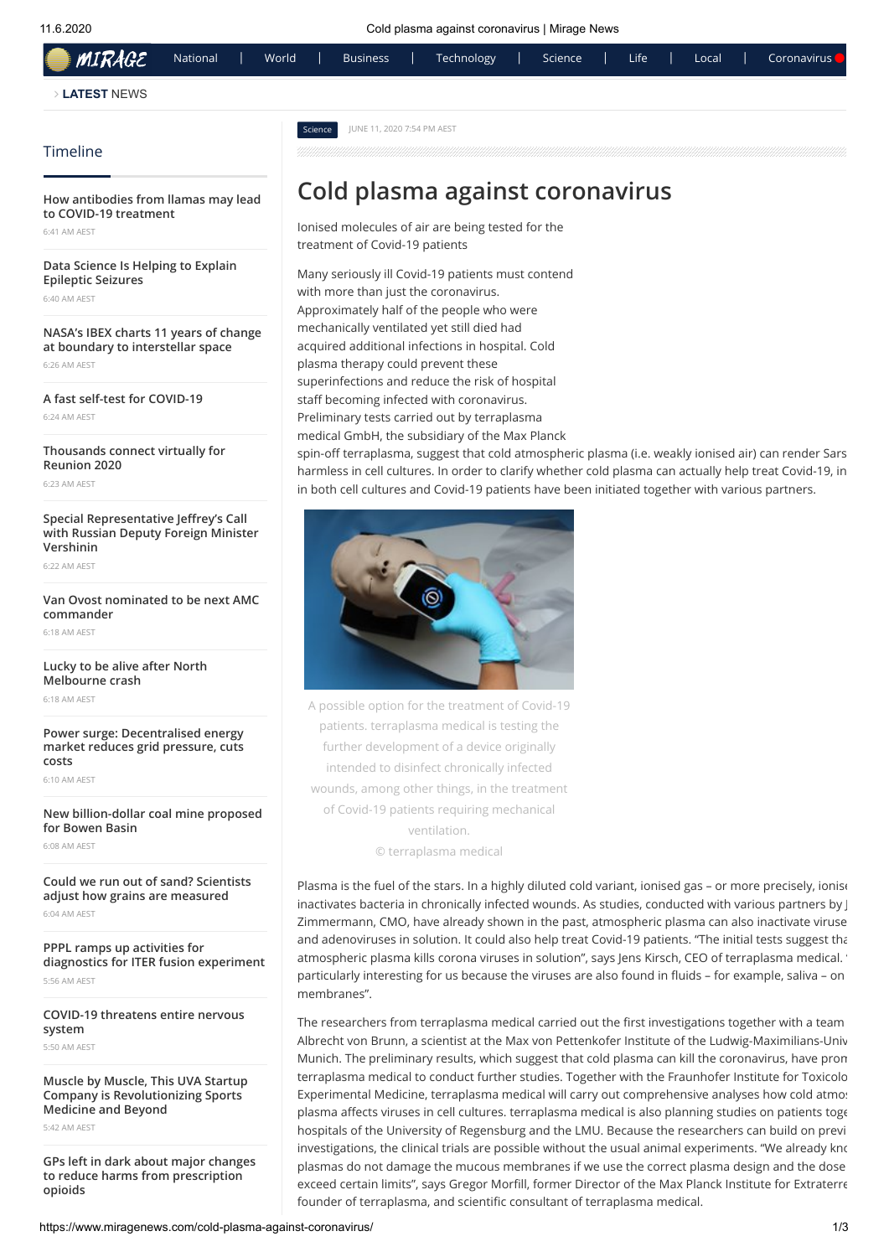| <b>MIRAGE</b>      | National | World |         | <b>Business</b>            | Technology | Science | Life | Local | Coronavirus <sup>1</sup> |
|--------------------|----------|-------|---------|----------------------------|------------|---------|------|-------|--------------------------|
| <b>LATEST NEWS</b> |          |       |         |                            |            |         |      |       |                          |
|                    |          |       | Science | JUNE 11, 2020 7:54 PM AEST |            |         |      |       |                          |
| Timeline           |          |       |         |                            |            |         |      |       |                          |

#### <span id="page-0-0"></span>**[How antibodies from llamas may lead](https://www.miragenews.com/how-antibodies-from-llamas-may-lead-to-covid-19-treatment/) to COVID-19 treatment**

6:41 AM AEST

**[Data Science Is Helping to Explain](https://www.miragenews.com/data-science-is-helping-to-explain-epileptic-seizures/) Epileptic Seizures**

6:40 AM AEST

**[NASA's IBEX charts 11 years of change](https://www.miragenews.com/nasa-s-ibex-charts-11-years-of-change-at-boundary-to-interstellar-space/) at boundary to interstellar space** 6:26 AM AEST

**[A fast self-test for COVID-19](https://www.miragenews.com/a-fast-self-test-for-covid-19/)** 6:24 AM AEST

**[Thousands connect virtually for](https://www.miragenews.com/thousands-connect-virtually-for-reunion-2020/) Reunion 2020**

6:23 AM AEST

#### **Special Representative Jeffrey's Call [with Russian Deputy Foreign Minister](https://www.miragenews.com/special-representative-jeffrey-s-call-with-russian-deputy-foreign-minister-vershinin/) Vershinin**

6:22 AM AEST

#### **[Van Ovost nominated to be next AMC](https://www.miragenews.com/van-ovost-nominated-to-be-next-amc-commander/) commander**

6:18 AM AEST

**[Lucky to be alive after North](https://www.miragenews.com/lucky-to-be-alive-after-north-melbourne-crash/) Melbourne crash** 6:18 AM AEST

**Power surge: Decentralised energy**

**[market reduces grid pressure, cuts](https://www.miragenews.com/power-surge-decentralised-energy-market-reduces-grid-pressure-cuts-costs/) costs**

6:10 AM AEST

#### **[New billion-dollar coal mine proposed](https://www.miragenews.com/new-billion-dollar-coal-mine-proposed-for-bowen-basin/) for Bowen Basin** 6:08 AM AEST

**[Could we run out of sand? Scientists](https://www.miragenews.com/could-we-run-out-of-sand-scientists-adjust-how-grains-are-measured/) adjust how grains are measured**

6:04 AM AEST

**PPPL ramps up activities for [diagnostics for ITER fusion experiment](https://www.miragenews.com/pppl-ramps-up-activities-for-diagnostics-for-iter-fusion-experiment/)** 5:56 AM AEST

**[COVID-19 threatens entire nervous](https://www.miragenews.com/covid-19-threatens-entire-nervous-system/) system**

5:50 AM AEST

**[Muscle by Muscle, This UVA Startup](https://www.miragenews.com/muscle-by-muscle-this-uva-startup-company-is-revolutionizing-sports-medicine-and-beyond/) Company is Revolutionizing Sports Medicine and Beyond**

5:42 AM AEST

**[GPs left in dark about major changes](https://www.miragenews.com/gps-left-in-dark-about-major-changes-to-reduce-harms-from-prescription-opioids/) to reduce harms from prescription opioids**

# **Cold plasma against coronavirus**

Ionised molecules of air are being tested for the treatment of Covid-19 patients

Many seriously ill Covid-19 patients must contend with more than just the coronavirus. Approximately half of the people who were mechanically ventilated yet still died had acquired additional infections in hospital. Cold plasma therapy could prevent these superinfections and reduce the risk of hospital staff becoming infected with coronavirus. Preliminary tests carried out by terraplasma medical GmbH, the subsidiary of the Max Planck

spin-off terraplasma, suggest that cold atmospheric plasma (i.e. weakly ionised air) can render Sars harmless in cell cultures. In order to clarify whether cold plasma can actually help treat Covid-19, in in both cell cultures and Covid-19 patients have been initiated together with various partners.



A possible option for the treatment of Covid-19 patients. terraplasma medical is testing the further development of a device originally intended to disinfect chronically infected wounds, among other things, in the treatment of Covid-19 patients requiring mechanical ventilation. © terraplasma medical

membranes".

Plasma is the fuel of the stars. In a highly diluted cold variant, ionised gas – or more precisely, ionise inactivates bacteria in chronically infected wounds. As studies, conducted with various partners by J Zimmermann, CMO, have already shown in the past, atmospheric plasma can also inactivate viruse and adenoviruses in solution. It could also help treat Covid-19 patients. "The initial tests suggest that atmospheric plasma kills corona viruses in solution", says Jens Kirsch, CEO of terraplasma medical. "

The researchers from terraplasma medical carried out the first investigations together with a team Albrecht von Brunn, a scientist at the Max von Pettenkofer Institute of the Ludwig-Maximilians-Univ Munich. The preliminary results, which suggest that cold plasma can kill the coronavirus, have prom terraplasma medical to conduct further studies. Together with the Fraunhofer Institute for Toxicolo Experimental Medicine, terraplasma medical will carry out comprehensive analyses how cold atmos plasma affects viruses in cell cultures. terraplasma medical is also planning studies on patients toge hospitals of the University of Regensburg and the LMU. Because the researchers can build on previ investigations, the clinical trials are possible without the usual animal experiments. "We already know plasmas do not damage the mucous membranes if we use the correct plasma design and the dose exceed certain limits", says Gregor Morfill, former Director of the Max Planck Institute for Extraterre founder of terraplasma, and scientific consultant of terraplasma medical.

particularly interesting for us because the viruses are also found in fluids - for example, saliva - on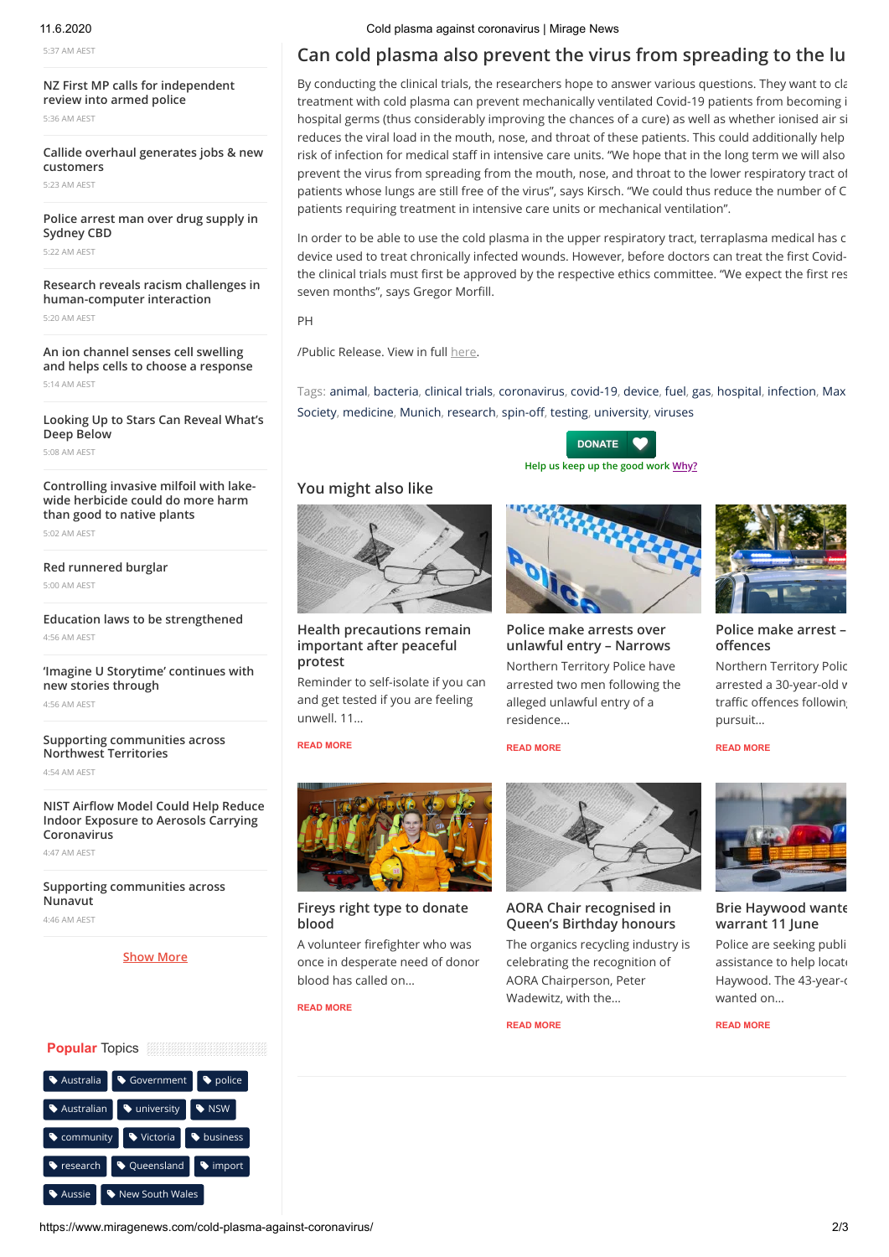5:37 AM AEST

**[NZ First MP calls for independent](https://www.miragenews.com/nz-first-mp-calls-for-independent-review-into-armed-police/) review into armed police**

5:36 AM AEST

**[Callide overhaul generates jobs & new](https://www.miragenews.com/callide-overhaul-generates-jobs-new-customers/) customers**

5:23 AM AEST

**[Police arrest man over drug supply in](https://www.miragenews.com/police-arrest-man-over-drug-supply-in-sydney-cbd/) Sydney CBD**

5:22 AM AEST

#### **[Research reveals racism challenges in](https://www.miragenews.com/research-reveals-racism-challenges-in-human-computer-interaction/) human-computer interaction**

5:20 AM AEST

**An ion channel senses cell swelling [and helps cells to choose a response](https://www.miragenews.com/an-ion-channel-senses-cell-swelling-and-helps-cells-to-choose-a-response/)** 5:14 AM AEST

**[Looking Up to Stars Can Reveal What's](https://www.miragenews.com/looking-up-to-stars-can-reveal-what-s-deep-below/) Deep Below**

5:08 AM AEST

#### **[Controlling invasive milfoil with lake](https://www.miragenews.com/controlling-invasive-milfoil-with-lake-wide-herbicide-could-do-more-harm-than-good-to-native-plants/)wide herbicide could do more harm than good to native plants**

5:02 AM AEST

#### **[Red runnered burglar](https://www.miragenews.com/red-runnered-burglar/)**

5:00 AM AEST

#### **[Education laws to be strengthened](https://www.miragenews.com/education-laws-to-be-strengthened/)** 4:56 AM AEST

**['Imagine U Storytime' continues with](https://www.miragenews.com/imagine-u-storytime-continues-with-new-stories-through/) new stories through**

4:56 AM AEST

#### **[Supporting communities across](https://www.miragenews.com/supporting-communities-across-northwest-territories/) Northwest Territories**

4:54 AM AEST

#### **NIST Airflow Model Could Help Reduce Indoor Exposure to Aerosols Carrying Coronavirus**

4:47 AM AEST

**[Supporting communities across](https://www.miragenews.com/supporting-communities-across-nunavut/) Nunavut**

4:46 AM AEST

#### **[Show More](https://www.miragenews.com/archives/)**

### **Popular** Topics

| Australia  | Government      | police     |  |  |  |  |
|------------|-----------------|------------|--|--|--|--|
| Australian | university      | <b>WSW</b> |  |  |  |  |
| Community  | Victoria        | business   |  |  |  |  |
| research   | ♦ Queensland    | • import   |  |  |  |  |
| Aussie     | New South Wales |            |  |  |  |  |

## **Can cold plasma also prevent the virus from spreading to the lu**

By conducting the clinical trials, the researchers hope to answer various questions. They want to cla treatment with cold plasma can prevent mechanically ventilated Covid-19 patients from becoming i hospital germs (thus considerably improving the chances of a cure) as well as whether ionised air si reduces the viral load in the mouth, nose, and throat of these patients. This could additionally help risk of infection for medical staff in intensive care units. "We hope that in the long term we will also prevent the virus from spreading from the mouth, nose, and throat to the lower respiratory tract of patients whose lungs are still free of the virus", says Kirsch. "We could thus reduce the number of C patients requiring treatment in intensive care units or mechanical ventilation".

In order to be able to use the cold plasma in the upper respiratory tract, terraplasma medical has c device used to treat chronically infected wounds. However, before doctors can treat the first Covidthe clinical trials must first be approved by the respective ethics committee. "We expect the first res seven months", says Gregor Morfill.

PH

/Public Release. View in full [here](https://www.mpg.de/14933096/cold-plasma-corona-covid19?utm_source=miragenews&utm_medium=miragenews&utm_campaign=news).

Tags: [a](https://www.miragenews.com/tag/max-planck-society/)[nima](https://www.miragenews.com/tag/animal/)[l,](https://www.miragenews.com/tag/max-planck-society/) [bacteria](https://www.miragenews.com/tag/bacteria/)[, c](https://www.miragenews.com/tag/max-planck-society/)[linical trial](https://www.miragenews.com/tag/clinical-trials/)[s,](https://www.miragenews.com/tag/max-planck-society/) [coronaviru](https://www.miragenews.com/tag/coronavirus/)[s,](https://www.miragenews.com/tag/max-planck-society/) [covid-19](https://www.miragenews.com/tag/covid-19/)[, d](https://www.miragenews.com/tag/max-planck-society/)[evic](https://www.miragenews.com/tag/device/)[e,](https://www.miragenews.com/tag/max-planck-society/) [fuel](https://www.miragenews.com/tag/fuel/)[, g](https://www.miragenews.com/tag/max-planck-society/)[a](https://www.miragenews.com/tag/gas/)[s,](https://www.miragenews.com/tag/max-planck-society/) [hospita](https://www.miragenews.com/tag/hospital/)[l,](https://www.miragenews.com/tag/max-planck-society/) [infection](https://www.miragenews.com/tag/infection/)[, Max](https://www.miragenews.com/tag/max-planck-society/)  Society, [medicine,](https://www.miragenews.com/tag/medicine/) [Munich,](https://www.miragenews.com/tag/munich/) [research](https://www.miragenews.com/tag/research/), spin-off, [testing](https://www.miragenews.com/tag/testing/), [university](https://www.miragenews.com/tag/university/), [viruses](https://www.miragenews.com/tag/viruses/)

> **Help us keep up the good work Why? DONATE**

**Police make arrests over [unlawful entry – Narrows](https://www.miragenews.com/police-make-arrests-over-unlawful-entry-narrows/)** Northern Territory Police have arrested two men following the alleged unlawful entry of a

## **You might also like**



#### **[Health precautions remain](https://www.miragenews.com/health-precautions-remain-important-after-peaceful-protest/) important after peaceful protest**

Reminder to self-isolate if you can and get tested if you are feeling unwell. 11…

#### **[READ MORE](https://www.miragenews.com/health-precautions-remain-important-after-peaceful-protest/)**



#### **[Fireys right type to donate](https://www.miragenews.com/fireys-right-type-to-donate-blood/) blood**

A volunteer firefighter who was once in desperate need of donor blood has called on…

**[READ MORE](https://www.miragenews.com/fireys-right-type-to-donate-blood/)**



**AORA Chair recognised in [Queen's Birthday honours](https://www.miragenews.com/aora-chair-recognised-in-queen-s-birthday-honours/)**

The organics recycling industry is celebrating the recognition of AORA Chairperson, Peter Wadewitz, with the…

**[READ MORE](https://www.miragenews.com/aora-chair-recognised-in-queen-s-birthday-honours/)**

**[READ MORE](https://www.miragenews.com/police-make-arrests-over-unlawful-entry-narrows/)**

residence…



#### **[Police make arrest –](https://www.miragenews.com/police-make-arrest-traffic-offences/)  offences**

Northern Territory Polic arrested a 30-year-old w traffic offences following pursuit…

#### **[READ MORE](https://www.miragenews.com/police-make-arrest-traffic-offences/)**



**[Brie Haywood wante](https://www.miragenews.com/brie-haywood-wanted-on-warrant-11-june/) warrant 11 June**

Police are seeking publi assistance to help locate Haywood. The 43-year-o wanted on…

**[READ MORE](https://www.miragenews.com/brie-haywood-wanted-on-warrant-11-june/)**